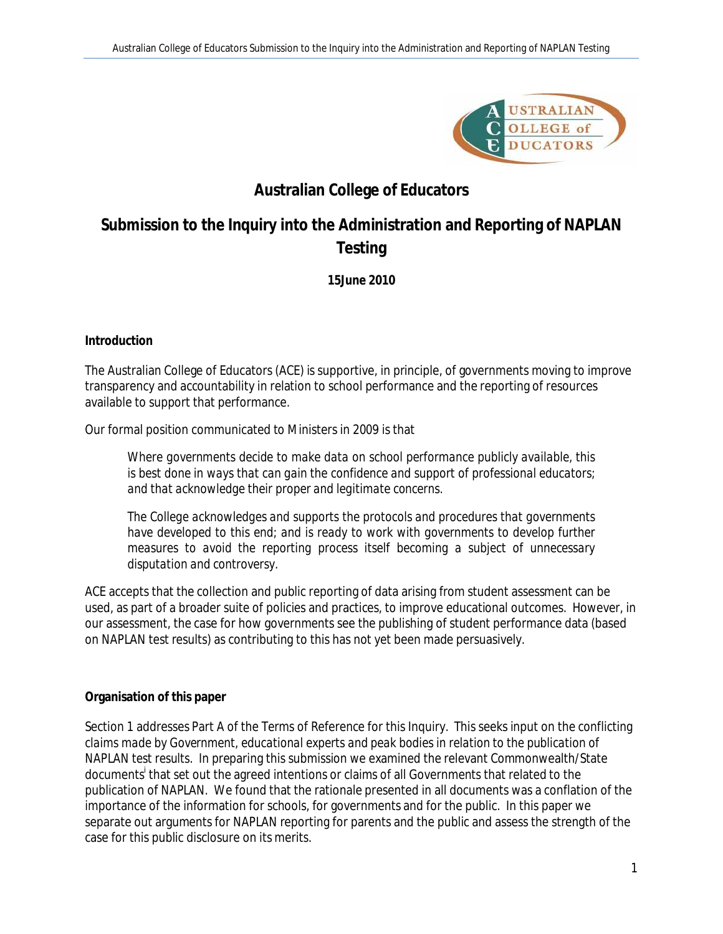

# **Australian College of Educators**

# **Submission to the Inquiry into the Administration and Reporting of NAPLAN Testing**

**15June 2010**

**Introduction**

The Australian College of Educators (ACE) is supportive, in principle, of governments moving to improve transparency and accountability in relation to school performance and the reporting of resources available to support that performance.

Our formal position communicated to Ministers in 2009 is that

*Where governments decide to make data on school performance publicly available, this is best done in ways that can gain the confidence and support of professional educators; and that acknowledge their proper and legitimate concerns.* 

*The College acknowledges and supports the protocols and procedures that governments*  have developed to this end; and is ready to work with governments to develop further *measures to avoid the reporting process itself becoming a subject of unnecessary disputation and controversy.* 

ACE accepts that the collection and public reporting of data arising from student assessment can be used, as part of a broader suite of policies and practices, to improve educational outcomes. However, in our assessment, the case for how governments see the publishing of student performance data (based on NAPLAN test results) as contributing to this has not yet been made persuasively.

### **Organisation of this paper**

Section 1 addresses Part A of the Terms of Reference for this Inquiry. This seeks input on the *conflicting claims made by Government, educational experts and peak bodies in relation to the publication of NAPLAN test results*. In preparing this submission we examined the relevant Commonwealth/State documents<sup>i</sup> that set out the agreed intentions or claims of all Governments that related to the publication of NAPLAN. We found that the rationale presented in all documents was a conflation of the importance of the information for schools, for governments and for the public. In this paper we separate out arguments for NAPLAN reporting for parents and the public and assess the strength of the case for this public disclosure on its merits.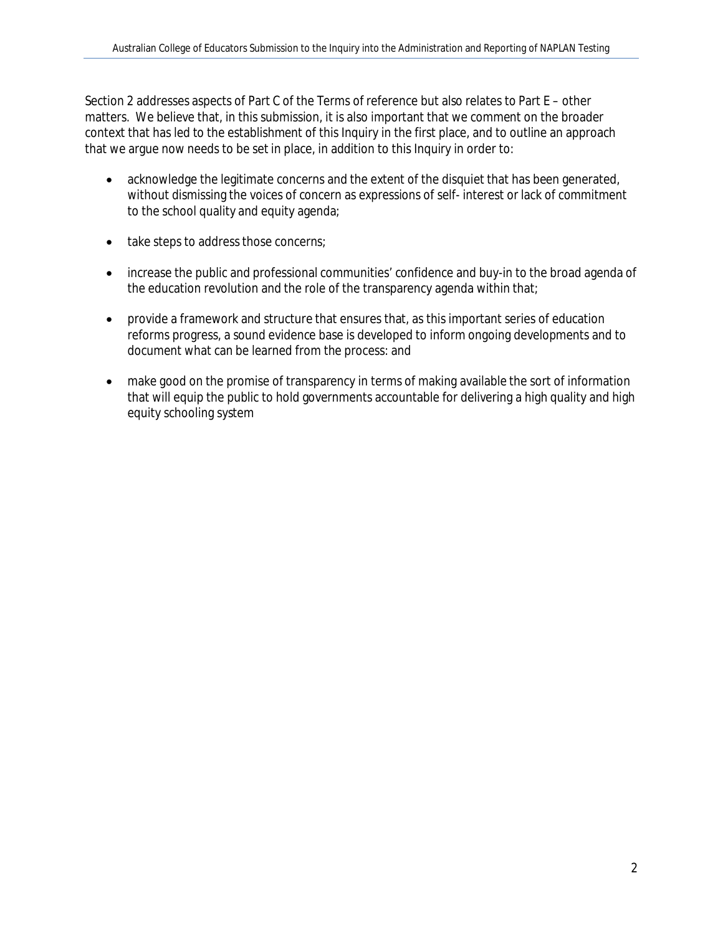Section 2 addresses aspects of Part C of the Terms of reference but also relates to Part E – other matters. We believe that, in this submission, it is also important that we comment on the broader context that has led to the establishment of this Inquiry in the first place, and to outline an approach that we argue now needs to be set in place, in addition to this Inquiry in order to:

- acknowledge the legitimate concerns and the extent of the disquiet that has been generated, without dismissing the voices of concern as expressions of self- interest or lack of commitment to the school quality and equity agenda;
- take steps to address those concerns;
- increase the public and professional communities' confidence and buy-in to the broad agenda of the education revolution and the role of the transparency agenda within that;
- provide a framework and structure that ensures that, as this important series of education reforms progress, a sound evidence base is developed to inform ongoing developments and to document what can be learned from the process: and
- make good on the promise of transparency in terms of making available the sort of information that will equip the public to hold governments accountable for delivering a high quality and high equity schooling system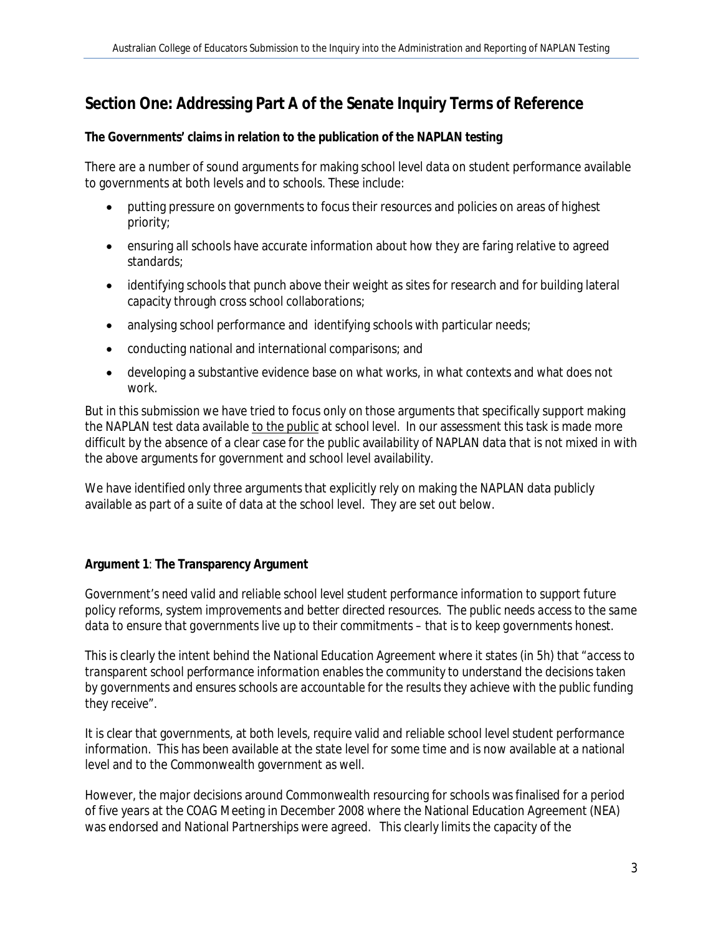## **Section One: Addressing Part A of the Senate Inquiry Terms of Reference**

**The Governments' claims in relation to the publication of the NAPLAN testing**

There are a number of sound arguments for making school level data on student performance available to governments at both levels and to schools. These include:

- putting pressure on governments to focus their resources and policies on areas of highest priority;
- ensuring all schools have accurate information about how they are faring relative to agreed standards;
- identifying schools that punch above their weight as sites for research and for building lateral capacity through cross school collaborations;
- analysing school performance and identifying schools with particular needs;
- conducting national and international comparisons; and
- developing a substantive evidence base on what works, in what contexts and what does not work.

But in this submission we have tried to focus only on those arguments that specifically support making the NAPLAN test data available to the public at school level. In our assessment this task is made more difficult by the absence of a clear case for the public availability of NAPLAN data that is not mixed in with the above arguments for government and school level availability.

We have identified only three arguments that explicitly rely on making the NAPLAN data publicly available as part of a suite of data at the school level. They are set out below.

### **Argument 1**: **The Transparency Argument**

*Government's need valid and reliable school level student performance information to support future policy reforms, system improvements and better directed resources. The public needs access to the same data to ensure that governments live up to their commitments – that is to keep governments honest.* 

This is clearly the intent behind the National Education Agreement where it states (in 5h) that *"access to transparent school performance information enables the community to understand the decisions taken by governments and ensures schools are accountable for the results they achieve with the public funding they receive".*

It is clear that governments, at both levels, require valid and reliable school level student performance information. This has been available at the state level for some time and is now available at a national level and to the Commonwealth government as well.

However, the major decisions around Commonwealth resourcing for schools was finalised for a period of five years at the COAG Meeting in December 2008 where the National Education Agreement (NEA) was endorsed and National Partnerships were agreed. This clearly limits the capacity of the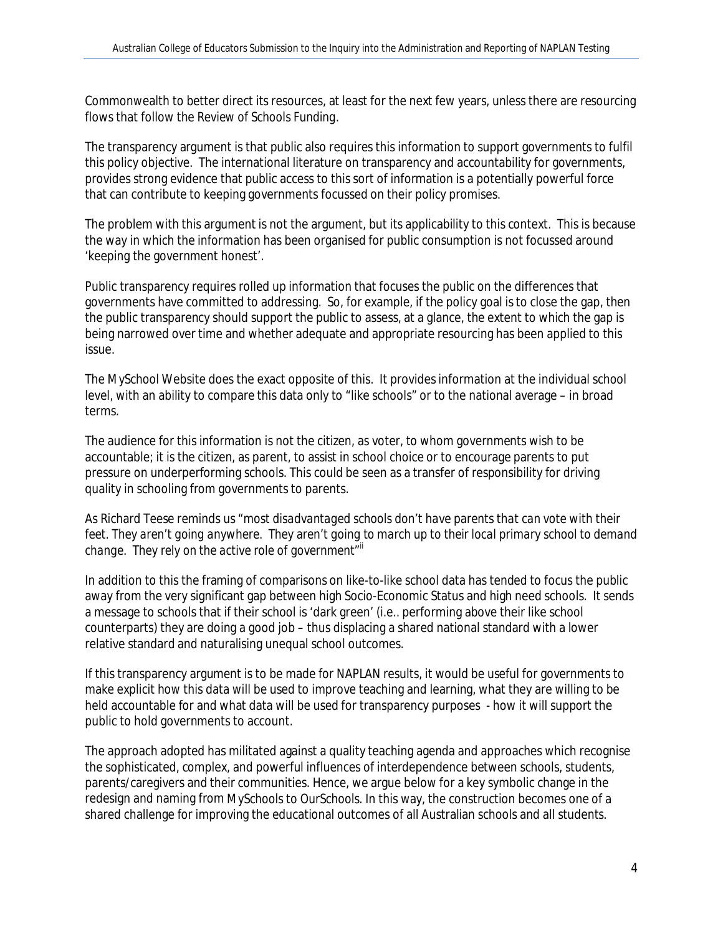Commonwealth to better direct its resources, at least for the next few years, unless there are resourcing flows that follow the *Review of Schools Funding.*

The transparency argument is that public also requires this information to support governments to fulfil this policy objective. The international literature on transparency and accountability for governments, provides strong evidence that public access to this sort of information is a potentially powerful force that can contribute to keeping governments focussed on their policy promises.

The problem with this argument is not the argument, but its applicability to this context. This is because the way in which the information has been organised for public consumption is not focussed around 'keeping the government honest'.

Public transparency requires rolled up information that focuses the public on the differences that governments have committed to addressing. So, for example, if the policy goal is to close the gap, then the public transparency should support the public to assess, at a glance, the extent to which the gap is being narrowed over time and whether adequate and appropriate resourcing has been applied to this issue.

The *MySchool* Website does the exact opposite of this. It provides information at the individual school level, with an ability to compare this data only to "like schools" or to the national average – in broad terms.

The audience for this information is not the citizen, as voter, to whom governments wish to be accountable; it is the citizen, as parent, to assist in school choice or to encourage parents to put pressure on underperforming schools. This could be seen as a transfer of responsibility for driving quality in schooling from governments to parents.

As Richard Teese reminds us *"most disadvantaged schools don't have parents that can vote with their*  feet. They aren't going anywhere. They aren't going to march up to their local primary school to demand change. They rely on the active role of government"<sup>ii</sup>

In addition to this the framing of comparisons on like-to-like school data has tended to focus the public away from the very significant gap between high Socio-Economic Status and high need schools. It sends a message to schools that if their school is 'dark green' (i.e.. performing above their like school counterparts) they are doing a good job – thus displacing a shared national standard with a lower relative standard and naturalising unequal school outcomes.

If this transparency argument is to be made for NAPLAN results, it would be useful for governments to make explicit how this data will be used to improve teaching and learning, what they are willing to be held accountable for and what data will be used for transparency purposes - how it will support the public to hold governments to account.

The approach adopted has militated against a quality teaching agenda and approaches which recognise the sophisticated, complex, and powerful influences of interdependence between schools, students, parents/caregivers and their communities. Hence, we argue below for a key symbolic change in the redesign and naming from *MySchools* to *OurSchools*. In this way, the construction becomes one of a shared challenge for improving the educational outcomes of all Australian schools and all students.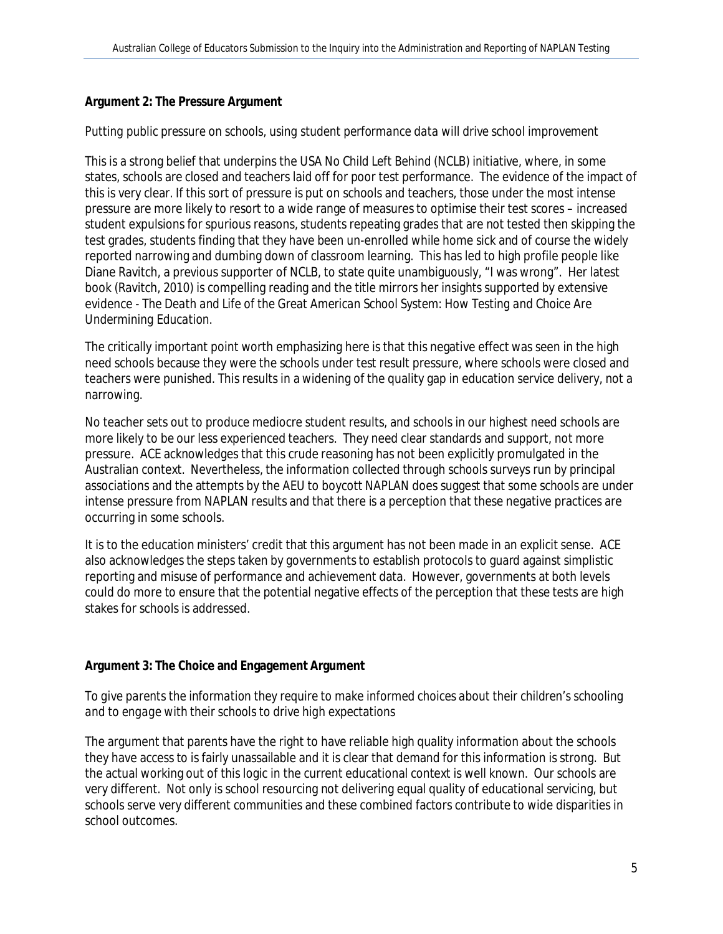#### **Argument 2: The Pressure Argument**

*Putting public pressure on schools, using student performance data will drive school improvement*

This is a strong belief that underpins the USA *No Child Left Behind* (NCLB) initiative, where, in some states, schools are closed and teachers laid off for poor test performance. The evidence of the impact of this is very clear. If this sort of pressure is put on schools and teachers, those under the most intense pressure are more likely to resort to a wide range of measures to optimise their test scores – increased student expulsions for spurious reasons, students repeating grades that are not tested then skipping the test grades, students finding that they have been un-enrolled while home sick and of course the widely reported narrowing and dumbing down of classroom learning. This has led to high profile people like Diane Ravitch, a previous supporter of NCLB, to state quite unambiguously, "I was wrong". Her latest book (Ravitch, 2010) is compelling reading and the title mirrors her insights supported by extensive evidence - *The Death and Life of the Great American School System: How Testing and Choice Are Undermining Education.* 

The critically important point worth emphasizing here is that this negative effect was seen in the high need schools because they were the schools under test result pressure, where schools were closed and teachers were punished. This results in a widening of the quality gap in education service delivery, not a narrowing.

No teacher sets out to produce mediocre student results, and schools in our highest need schools are more likely to be our less experienced teachers. They need clear standards and support, not more pressure. ACE acknowledges that this crude reasoning has not been explicitly promulgated in the Australian context. Nevertheless, the information collected through schools surveys run by principal associations and the attempts by the AEU to boycott NAPLAN does suggest that some schools are under intense pressure from NAPLAN results and that there is a perception that these negative practices are occurring in some schools.

It is to the education ministers' credit that this argument has not been made in an explicit sense. ACE also acknowledges the steps taken by governments to establish protocols to guard against simplistic reporting and misuse of performance and achievement data. However, governments at both levels could do more to ensure that the potential negative effects of the perception that these tests are high stakes for schools is addressed.

#### **Argument 3: The Choice and Engagement Argument**

*To give parents the information they require to make informed choices about their children's schooling and to engage with their schools to drive high expectations* 

The argument that parents have the right to have reliable high quality information about the schools they have access to is fairly unassailable and it is clear that demand for this information is strong. But the actual working out of this logic in the current educational context is well known. Our schools are very different. Not only is school resourcing not delivering equal quality of educational servicing, but schools serve very different communities and these combined factors contribute to wide disparities in school outcomes.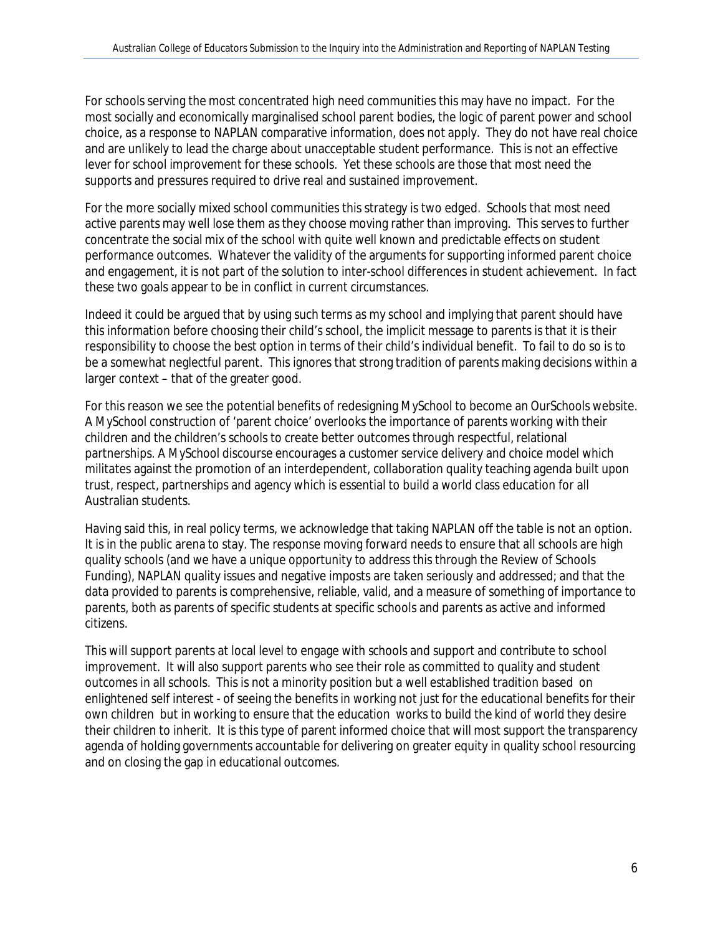For schools serving the most concentrated high need communities this may have no impact. For the most socially and economically marginalised school parent bodies, the logic of parent power and school choice, as a response to NAPLAN comparative information, does not apply. They do not have real choice and are unlikely to lead the charge about unacceptable student performance. This is not an effective lever for school improvement for these schools. Yet these schools are those that most need the supports and pressures required to drive real and sustained improvement.

For the more socially mixed school communities this strategy is two edged. Schools that most need active parents may well lose them as they choose moving rather than improving. This serves to further concentrate the social mix of the school with quite well known and predictable effects on student performance outcomes. Whatever the validity of the arguments for supporting informed parent choice and engagement, it is not part of the solution to inter-school differences in student achievement. In fact these two goals appear to be in conflict in current circumstances.

Indeed it could be argued that by using such terms as my school and implying that parent should have this information before choosing their child's school, the implicit message to parents is that it is their responsibility to choose the best option in terms of their child's individual benefit. To fail to do so is to be a somewhat neglectful parent. This ignores that strong tradition of parents making decisions within a larger context – that of the greater good.

For this reason we see the potential benefits of redesigning *MySchool* to become an *OurSchools* website. A *MySchool* construction of 'parent choice' overlooks the importance of parents working with their children and the children's schools to create better outcomes through respectful, relational partnerships. A *MySchool* discourse encourages a customer service delivery and choice model which militates against the promotion of an interdependent, collaboration quality teaching agenda built upon trust, respect, partnerships and agency which is essential to build a world class education for all Australian students.

Having said this, in real policy terms, we acknowledge that taking NAPLAN off the table is not an option. It is in the public arena to stay. The response moving forward needs to ensure that all schools are high quality schools (and we have a unique opportunity to address this through the Review of Schools Funding), NAPLAN quality issues and negative imposts are taken seriously and addressed; and that the data provided to parents is comprehensive, reliable, valid, and a measure of something of importance to parents, both as parents of specific students at specific schools and parents as active and informed citizens.

This will support parents at local level to engage with schools and support and contribute to school improvement. It will also support parents who see their role as committed to quality and student outcomes in all schools. This is not a minority position but a well established tradition based on enlightened self interest - of seeing the benefits in working not just for the educational benefits for their own children but in working to ensure that the education works to build the kind of world they desire their children to inherit. It is this type of parent informed choice that will most support the transparency agenda of holding governments accountable for delivering on greater equity in quality school resourcing and on closing the gap in educational outcomes.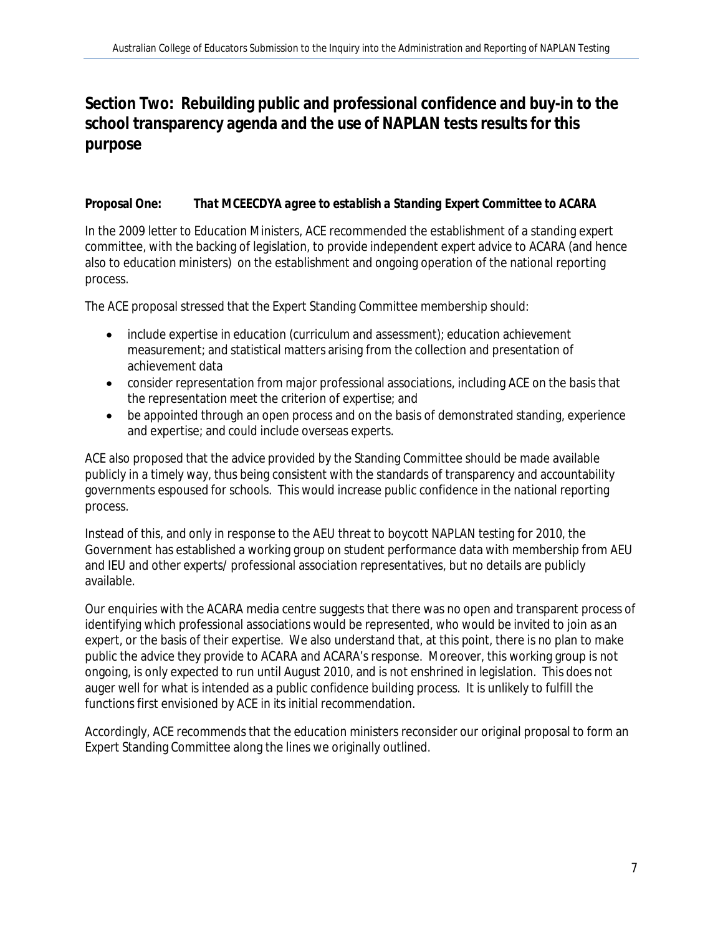**Section Two: Rebuilding public and professional confidence and buy-in to the school transparency agenda and the use of NAPLAN tests results for this purpose**

### **Proposal One:** *That MCEECDYA agree to establish a Standing Expert Committee to ACARA*

In the 2009 letter to Education Ministers, ACE recommended the establishment of a standing expert committee, with the backing of legislation, to provide independent expert advice to ACARA (and hence also to education ministers) on the establishment and ongoing operation of the national reporting process.

The ACE proposal stressed that the Expert Standing Committee membership should:

- include expertise in education (curriculum and assessment); education achievement measurement; and statistical matters arising from the collection and presentation of achievement data
- consider representation from major professional associations, including ACE on the basis that the representation meet the criterion of expertise; and
- be appointed through an open process and on the basis of demonstrated standing, experience and expertise; and could include overseas experts.

ACE also proposed that the advice provided by the Standing Committee should be made available publicly in a timely way, thus being consistent with the standards of transparency and accountability governments espoused for schools. This would increase public confidence in the national reporting process.

Instead of this, and only in response to the AEU threat to boycott NAPLAN testing for 2010, the Government has established a working group on student performance data with membership from AEU and IEU and other experts/ professional association representatives, but no details are publicly available.

Our enquiries with the ACARA media centre suggests that there was no open and transparent process of identifying which professional associations would be represented, who would be invited to join as an expert, or the basis of their expertise. We also understand that, at this point, there is no plan to make public the advice they provide to ACARA and ACARA's response. Moreover, this working group is not ongoing, is only expected to run until August 2010, and is not enshrined in legislation. This does not auger well for what is intended as a public confidence building process. It is unlikely to fulfill the functions first envisioned by ACE in its initial recommendation.

Accordingly, ACE recommends that the education ministers reconsider our original proposal to form an Expert Standing Committee along the lines we originally outlined.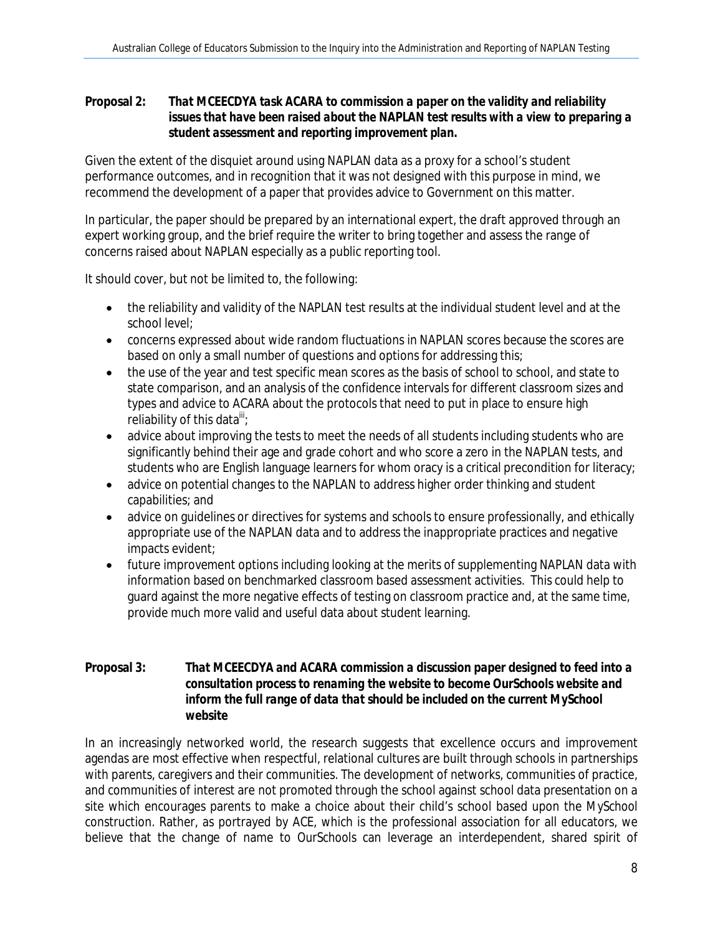**Proposal 2:** *That MCEECDYA task ACARA to commission a paper on the validity and reliability issues that have been raised about the NAPLAN test results with a view to preparing a student assessment and reporting improvement plan.*

Given the extent of the disquiet around using NAPLAN data as a proxy for a school's student performance outcomes, and in recognition that it was not designed with this purpose in mind, we recommend the development of a paper that provides advice to Government on this matter.

In particular, the paper should be prepared by an international expert, the draft approved through an expert working group, and the brief require the writer to bring together and assess the range of concerns raised about NAPLAN especially as a public reporting tool.

It should cover, but not be limited to, the following:

- the reliability and validity of the NAPLAN test results at the individual student level and at the school level;
- concerns expressed about wide random fluctuations in NAPLAN scores because the scores are based on only a small number of questions and options for addressing this;
- the use of the year and test specific mean scores as the basis of school to school, and state to state comparison, and an analysis of the confidence intervals for different classroom sizes and types and advice to ACARA about the protocols that need to put in place to ensure high reliability of this data $^{\prime\prime\prime}$ ;
- advice about improving the tests to meet the needs of all students including students who are significantly behind their age and grade cohort and who score a zero in the NAPLAN tests, and students who are English language learners for whom oracy is a critical precondition for literacy;
- advice on potential changes to the NAPLAN to address higher order thinking and student capabilities; and
- advice on guidelines or directives for systems and schools to ensure professionally, and ethically appropriate use of the NAPLAN data and to address the inappropriate practices and negative impacts evident;
- future improvement options including looking at the merits of supplementing NAPLAN data with information based on benchmarked classroom based assessment activities. This could help to guard against the more negative effects of testing on classroom practice and, at the same time, provide much more valid and useful data about student learning.
- **Proposal 3:** *That MCEECDYA and ACARA commission a discussion paper designed to feed into a consultation process to renaming the website to become OurSchools website and inform the full range of data that should be included on the current MySchool website*

In an increasingly networked world, the research suggests that excellence occurs and improvement agendas are most effective when respectful, relational cultures are built through schools in partnerships with parents, caregivers and their communities. The development of networks, communities of practice, and communities of interest are not promoted through the school against school data presentation on a site which encourages parents to make a choice about their child's school based upon the *MySchool* construction. Rather, as portrayed by ACE, which is the professional association for all educators, we believe that the change of name to *OurSchools* can leverage an interdependent, shared spirit of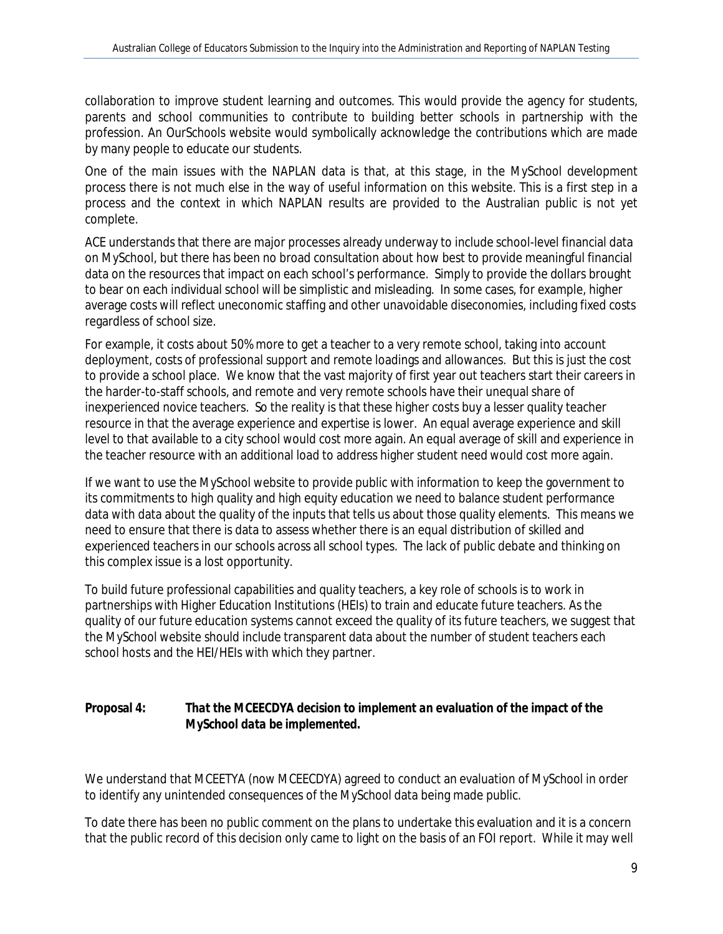collaboration to improve student learning and outcomes. This would provide the agency for students, parents and school communities to contribute to building better schools in partnership with the profession. An *OurSchools* website would symbolically acknowledge the contributions which are made by many people to educate our students.

One of the main issues with the NAPLAN data is that, at this stage, in the *MySchool* development process there is not much else in the way of useful information on this website. This is a first step in a process and the context in which NAPLAN results are provided to the Australian public is not yet complete.

ACE understands that there are major processes already underway to include school-level financial data on MySchool, but there has been no broad consultation about how best to provide meaningful financial data on the resources that impact on each school's performance. Simply to provide the dollars brought to bear on each individual school will be simplistic and misleading. In some cases, for example, higher average costs will reflect uneconomic staffing and other unavoidable diseconomies, including fixed costs regardless of school size.

For example, it costs about 50% more to get a teacher to a very remote school, taking into account deployment, costs of professional support and remote loadings and allowances. But this is just the cost to provide a school place. We know that the vast majority of first year out teachers start their careers in the harder-to-staff schools, and remote and very remote schools have their unequal share of inexperienced novice teachers. So the reality is that these higher costs buy a lesser quality teacher resource in that the average experience and expertise is lower. An equal average experience and skill level to that available to a city school would cost more again. An equal average of skill and experience in the teacher resource with an additional load to address higher student need would cost more again.

If we want to use the *MySchool* website to provide public with information to keep the government to its commitments to high quality and high equity education we need to balance student performance data with data about the quality of the inputs that tells us about those quality elements. This means we need to ensure that there is data to assess whether there is an equal distribution of skilled and experienced teachers in our schools across all school types. The lack of public debate and thinking on this complex issue is a lost opportunity.

To build future professional capabilities and quality teachers, a key role of schools is to work in partnerships with Higher Education Institutions (HEIs) to train and educate future teachers. As the quality of our future education systems cannot exceed the quality of its future teachers, we suggest that the *MySchool* website should include transparent data about the number of student teachers each school hosts and the HEI/HEIs with which they partner.

**Proposal 4:** *That the MCEECDYA decision to implement an evaluation of the impact of the MySchool data be implemented.*

We understand that MCEETYA (now MCEECDYA) agreed to conduct an evaluation of *MySchool* in order to identify any unintended consequences of the *MySchool* data being made public.

To date there has been no public comment on the plans to undertake this evaluation and it is a concern that the public record of this decision only came to light on the basis of an FOI report. While it may well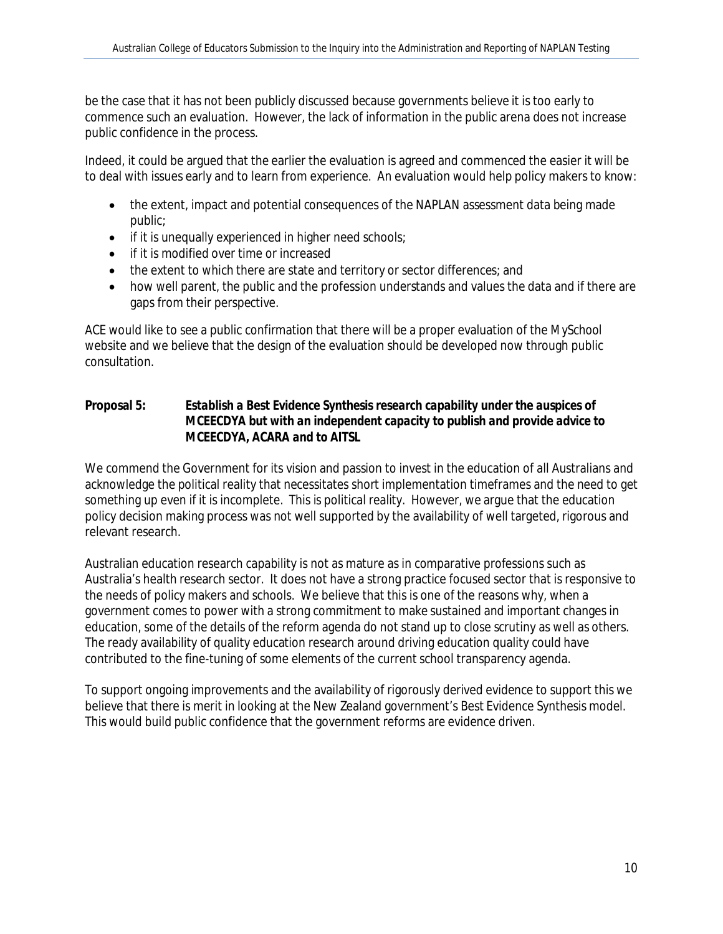be the case that it has not been publicly discussed because governments believe it is too early to commence such an evaluation. However, the lack of information in the public arena does not increase public confidence in the process.

Indeed, it could be argued that the earlier the evaluation is agreed and commenced the easier it will be to deal with issues early and to learn from experience. An evaluation would help policy makers to know:

- the extent, impact and potential consequences of the NAPLAN assessment data being made public;
- if it is unequally experienced in higher need schools;
- if it is modified over time or increased
- the extent to which there are state and territory or sector differences; and
- how well parent, the public and the profession understands and values the data and if there are gaps from their perspective.

ACE would like to see a public confirmation that there will be a proper evaluation of the *MySchool* website and we believe that the design of the evaluation should be developed now through public consultation.

**Proposal 5:** *Establish a Best Evidence Synthesis research capability under the auspices of MCEECDYA but with an independent capacity to publish and provide advice to MCEECDYA, ACARA and to AITSL*

We commend the Government for its vision and passion to invest in the education of all Australians and acknowledge the political reality that necessitates short implementation timeframes and the need to get something up even if it is incomplete. This is political reality. However, we argue that the education policy decision making process was not well supported by the availability of well targeted, rigorous and relevant research.

Australian education research capability is not as mature as in comparative professions such as Australia's health research sector. It does not have a strong practice focused sector that is responsive to the needs of policy makers and schools. We believe that this is one of the reasons why, when a government comes to power with a strong commitment to make sustained and important changes in education, some of the details of the reform agenda do not stand up to close scrutiny as well as others. The ready availability of quality education research around driving education quality could have contributed to the fine-tuning of some elements of the current school transparency agenda.

To support ongoing improvements and the availability of rigorously derived evidence to support this we believe that there is merit in looking at the New Zealand government's Best Evidence Synthesis model. This would build public confidence that the government reforms are evidence driven.